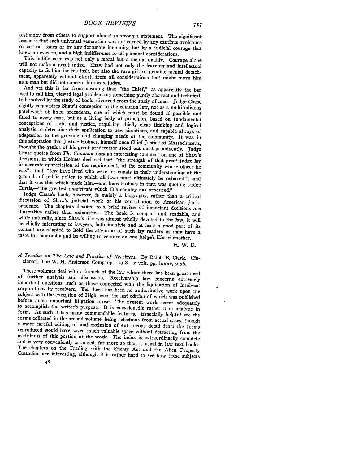testimony from others to support almost as strong a statement. The significant<br>lesson is that such universal veneration was not earned by any cautious avoidance<br>of critical issues or by any fortunate immunity, but by a jud

will not make a great judge. Shaw had not only the learning and intellectual capacity to fit him for his task, but also the rare gift of genuine mental detachment, apparently without effort, from all considerations that mi

as a man but did not concern him as a judge.<br>And yet this is far from meaning that "the Chief," as apparently the bar<br>used to call him, viewed legal problems as something purely abstract and technical, to be solved by the study of books divorced from the study of men. Judge Chase rightly emphasizes Shaw's conception of the common law, not as a multitudinous patchwork of fixed precedents, one of which must be found if possible and fitted to every case, but as a living body of principles, based on fundamental analysis to determine their application to new situations, and capable always of adaptation to the growing and changing needs of the community. It was in this adaptation that Justice Holmes, himself once Chief Justice of

that it was this which made him,—and here Holmes in turn was quoting Judge<br>Curtis,—"the greatest *magistrate* which this country has produced."<br>Judge Chase's book, however, is mainly a biography, rather than a critical<br>dis content are adapted to hold the attention of such lay readers as may have a taste for biography and be willing to venture on one judge's life of another.

H. W. D.

## *A Treatise on The Law and Practice of Receivers.* **By** Ralph E. Clark. Cin- cinnati, The W. H. Anderson Company. 1918. 2 vols. **pp.** lxxxv, 2176.

These volumes deal with a branch of the law where there has been great need<br>of further analysis and discussion. Receivership law concerns extremely<br>important questions, such as those connected with the liquidation of insol subject with the exception of High, even the last edition of which was published<br>before much important litigation arose. The present work seems adequately<br>to accomplish the writer's purpose. It is encyclopedic rather than